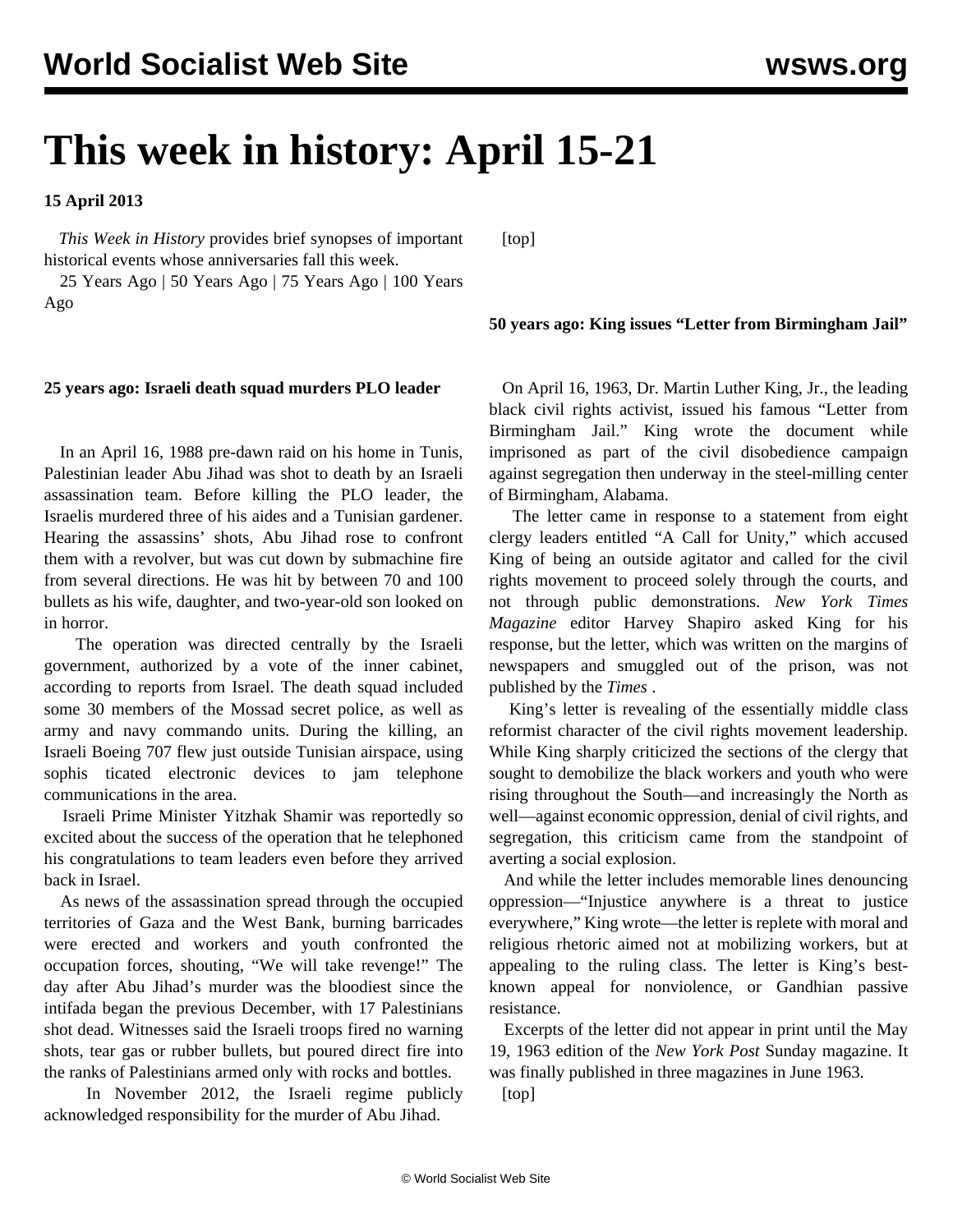# **This week in history: April 15-21**

**15 April 2013**

 *This Week in History* provides brief synopses of important historical events whose anniversaries fall this week.

 25 Years Ago | 50 Years Ago | 75 Years Ago | 100 Years Ago

# **50 years ago: King issues "Letter from Birmingham Jail"**

## **25 years ago: Israeli death squad murders PLO leader**

 In an April 16, 1988 pre-dawn raid on his home in Tunis, Palestinian leader Abu Jihad was shot to death by an Israeli assassination team. Before killing the PLO leader, the Israelis murdered three of his aides and a Tunisian gardener. Hearing the assassins' shots, Abu Jihad rose to confront them with a revolver, but was cut down by submachine fire from several directions. He was hit by between 70 and 100 bullets as his wife, daughter, and two-year-old son looked on in horror.

 The operation was directed centrally by the Israeli government, authorized by a vote of the inner cabinet, according to reports from Israel. The death squad included some 30 members of the Mossad secret police, as well as army and navy commando units. During the killing, an Israeli Boeing 707 flew just outside Tunisian airspace, using sophis ticated electronic devices to jam telephone communications in the area.

 Israeli Prime Minister Yitzhak Shamir was reportedly so excited about the success of the operation that he telephoned his congratulations to team leaders even before they arrived back in Israel.

 As news of the assassination spread through the occupied territories of Gaza and the West Bank, burning barricades were erected and workers and youth confronted the occupation forces, shouting, "We will take revenge!" The day after Abu Jihad's murder was the bloodiest since the intifada began the previous December, with 17 Palestinians shot dead. Witnesses said the Israeli troops fired no warning shots, tear gas or rubber bullets, but poured direct fire into the ranks of Palestinians armed only with rocks and bottles.

 In November 2012, the Israeli regime publicly acknowledged responsibility for the murder of Abu Jihad.

 On April 16, 1963, Dr. Martin Luther King, Jr., the leading black civil rights activist, issued his famous "Letter from Birmingham Jail." King wrote the document while imprisoned as part of the civil disobedience campaign against segregation then underway in the steel-milling center of Birmingham, Alabama.

 The letter came in response to a statement from eight clergy leaders entitled "A Call for Unity," which accused King of being an outside agitator and called for the civil rights movement to proceed solely through the courts, and not through public demonstrations. *New York Times Magazine* editor Harvey Shapiro asked King for his response, but the letter, which was written on the margins of newspapers and smuggled out of the prison, was not published by the *Times* .

 King's letter is revealing of the essentially middle class reformist character of the civil rights movement leadership. While King sharply criticized the sections of the clergy that sought to demobilize the black workers and youth who were rising throughout the South—and increasingly the North as well—against economic oppression, denial of civil rights, and segregation, this criticism came from the standpoint of averting a social explosion.

 And while the letter includes memorable lines denouncing oppression—"Injustice anywhere is a threat to justice everywhere," King wrote—the letter is replete with moral and religious rhetoric aimed not at mobilizing workers, but at appealing to the ruling class. The letter is King's bestknown appeal for nonviolence, or Gandhian passive resistance.

 Excerpts of the letter did not appear in print until the May 19, 1963 edition of the *New York Post* Sunday magazine. It was finally published in three magazines in June 1963.

[top]

[top]